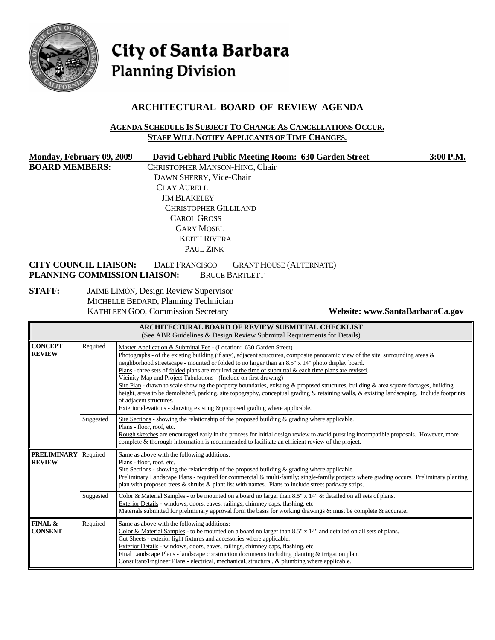

# City of Santa Barbara **Planning Division**

## **ARCHITECTURAL BOARD OF REVIEW AGENDA**

#### **AGENDA SCHEDULE IS SUBJECT TO CHANGE AS CANCELLATIONS OCCUR. STAFF WILL NOTIFY APPLICANTS OF TIME CHANGES.**

|                       | <b>Monday, February 09, 2009</b>                             | David Gebhard Public Meeting Room: 630 Garden Street                                 |                                | 3:00 P.M.                       |
|-----------------------|--------------------------------------------------------------|--------------------------------------------------------------------------------------|--------------------------------|---------------------------------|
| <b>BOARD MEMBERS:</b> |                                                              | CHRISTOPHER MANSON-HING, Chair                                                       |                                |                                 |
|                       |                                                              | DAWN SHERRY, Vice-Chair                                                              |                                |                                 |
|                       |                                                              | <b>CLAY AURELL</b>                                                                   |                                |                                 |
|                       |                                                              | <b>JIM BLAKELEY</b>                                                                  |                                |                                 |
|                       |                                                              | CHRISTOPHER GILLILAND                                                                |                                |                                 |
|                       |                                                              | <b>CAROL GROSS</b>                                                                   |                                |                                 |
|                       |                                                              | <b>GARY MOSEL</b>                                                                    |                                |                                 |
|                       |                                                              | <b>KEITH RIVERA</b>                                                                  |                                |                                 |
|                       |                                                              | PAUL ZINK                                                                            |                                |                                 |
|                       | <b>CITY COUNCIL LIAISON:</b><br>PLANNING COMMISSION LIAISON: | <b>DALE FRANCISCO</b><br><b>BRUCE BARTLETT</b>                                       | <b>GRANT HOUSE (ALTERNATE)</b> |                                 |
| <b>STAFF:</b>         |                                                              | <b>JAIME LIMÓN, Design Review Supervisor</b><br>MICHELLE BEDARD, Planning Technician |                                |                                 |
|                       |                                                              | KATHLEEN GOO, Commission Secretary                                                   |                                | Website: www.SantaBarbaraCa.gov |
|                       |                                                              | <b>ARCHITECTURAL BOARD OF REVIEW SUBMITTAL CHECKLIST</b>                             |                                |                                 |

| (See ABR Guidelines & Design Review Submittal Requirements for Details) |                                                                                                                                                                                                                                                                                                                                                                                                                                                                                                                                                                                                                                                                                                                                                                                                                                                                                                                      |                                                                                                                                                                                                                                                                                                                                                                                                                                                                                                                                    |  |
|-------------------------------------------------------------------------|----------------------------------------------------------------------------------------------------------------------------------------------------------------------------------------------------------------------------------------------------------------------------------------------------------------------------------------------------------------------------------------------------------------------------------------------------------------------------------------------------------------------------------------------------------------------------------------------------------------------------------------------------------------------------------------------------------------------------------------------------------------------------------------------------------------------------------------------------------------------------------------------------------------------|------------------------------------------------------------------------------------------------------------------------------------------------------------------------------------------------------------------------------------------------------------------------------------------------------------------------------------------------------------------------------------------------------------------------------------------------------------------------------------------------------------------------------------|--|
| <b>CONCEPT</b><br><b>REVIEW</b>                                         | Required<br>Master Application & Submittal Fee - (Location: 630 Garden Street)<br>Photographs - of the existing building (if any), adjacent structures, composite panoramic view of the site, surrounding areas &<br>neighborhood streetscape - mounted or folded to no larger than an 8.5" x 14" photo display board.<br>Plans - three sets of <u>folded</u> plans are required at the time of submittal $\&$ each time plans are revised.<br>Vicinity Map and Project Tabulations - (Include on first drawing)<br>Site Plan - drawn to scale showing the property boundaries, existing & proposed structures, building & area square footages, building<br>height, areas to be demolished, parking, site topography, conceptual grading & retaining walls, & existing landscaping. Include footprints<br>of adjacent structures.<br>Exterior elevations - showing existing $\&$ proposed grading where applicable. |                                                                                                                                                                                                                                                                                                                                                                                                                                                                                                                                    |  |
|                                                                         | Suggested                                                                                                                                                                                                                                                                                                                                                                                                                                                                                                                                                                                                                                                                                                                                                                                                                                                                                                            | Site Sections - showing the relationship of the proposed building $\&$ grading where applicable.<br>Plans - floor, roof, etc.<br>Rough sketches are encouraged early in the process for initial design review to avoid pursuing incompatible proposals. However, more<br>complete & thorough information is recommended to facilitate an efficient review of the project.                                                                                                                                                          |  |
| <b>PRELIMINARY</b><br><b>REVIEW</b>                                     | Required                                                                                                                                                                                                                                                                                                                                                                                                                                                                                                                                                                                                                                                                                                                                                                                                                                                                                                             | Same as above with the following additions:<br>Plans - floor, roof, etc.<br>Site Sections - showing the relationship of the proposed building $\&$ grading where applicable.<br>Preliminary Landscape Plans - required for commercial & multi-family; single-family projects where grading occurs. Preliminary planting<br>plan with proposed trees $\&$ shrubs $\&$ plant list with names. Plans to include street parkway strips.                                                                                                |  |
|                                                                         | Suggested                                                                                                                                                                                                                                                                                                                                                                                                                                                                                                                                                                                                                                                                                                                                                                                                                                                                                                            | Color & Material Samples - to be mounted on a board no larger than 8.5" x 14" & detailed on all sets of plans.<br>Exterior Details - windows, doors, eaves, railings, chimney caps, flashing, etc.<br>Materials submitted for preliminary approval form the basis for working drawings $\&$ must be complete $\&$ accurate.                                                                                                                                                                                                        |  |
| FINAL &<br><b>CONSENT</b>                                               | Required                                                                                                                                                                                                                                                                                                                                                                                                                                                                                                                                                                                                                                                                                                                                                                                                                                                                                                             | Same as above with the following additions:<br>Color & Material Samples - to be mounted on a board no larger than 8.5" x 14" and detailed on all sets of plans.<br>Cut Sheets - exterior light fixtures and accessories where applicable.<br>Exterior Details - windows, doors, eaves, railings, chimney caps, flashing, etc.<br>Final Landscape Plans - landscape construction documents including planting $\&$ irrigation plan.<br>Consultant/Engineer Plans - electrical, mechanical, structural, & plumbing where applicable. |  |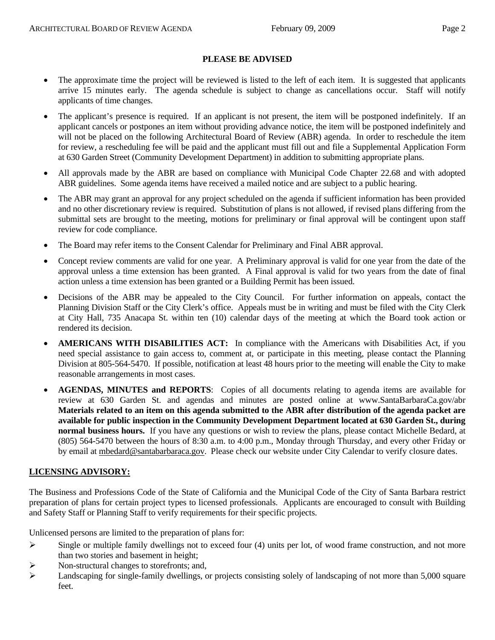## **PLEASE BE ADVISED**

- The approximate time the project will be reviewed is listed to the left of each item. It is suggested that applicants arrive 15 minutes early. The agenda schedule is subject to change as cancellations occur. Staff will notify applicants of time changes.
- The applicant's presence is required. If an applicant is not present, the item will be postponed indefinitely. If an applicant cancels or postpones an item without providing advance notice, the item will be postponed indefinitely and will not be placed on the following Architectural Board of Review (ABR) agenda. In order to reschedule the item for review, a rescheduling fee will be paid and the applicant must fill out and file a Supplemental Application Form at 630 Garden Street (Community Development Department) in addition to submitting appropriate plans.
- All approvals made by the ABR are based on compliance with Municipal Code Chapter 22.68 and with adopted ABR guidelines. Some agenda items have received a mailed notice and are subject to a public hearing.
- The ABR may grant an approval for any project scheduled on the agenda if sufficient information has been provided and no other discretionary review is required. Substitution of plans is not allowed, if revised plans differing from the submittal sets are brought to the meeting, motions for preliminary or final approval will be contingent upon staff review for code compliance.
- The Board may refer items to the Consent Calendar for Preliminary and Final ABR approval.
- Concept review comments are valid for one year. A Preliminary approval is valid for one year from the date of the approval unless a time extension has been granted. A Final approval is valid for two years from the date of final action unless a time extension has been granted or a Building Permit has been issued.
- Decisions of the ABR may be appealed to the City Council. For further information on appeals, contact the Planning Division Staff or the City Clerk's office. Appeals must be in writing and must be filed with the City Clerk at City Hall, 735 Anacapa St. within ten (10) calendar days of the meeting at which the Board took action or rendered its decision.
- **AMERICANS WITH DISABILITIES ACT:** In compliance with the Americans with Disabilities Act, if you need special assistance to gain access to, comment at, or participate in this meeting, please contact the Planning Division at 805-564-5470. If possible, notification at least 48 hours prior to the meeting will enable the City to make reasonable arrangements in most cases.
- **AGENDAS, MINUTES and REPORTS**: Copies of all documents relating to agenda items are available for review at 630 Garden St. and agendas and minutes are posted online at [www.SantaBarbaraCa.gov/abr](http://www.santabarbaraca.gov/abr) **Materials related to an item on this agenda submitted to the ABR after distribution of the agenda packet are available for public inspection in the Community Development Department located at 630 Garden St., during normal business hours.** If you have any questions or wish to review the plans, please contact Michelle Bedard, at (805) 564-5470 between the hours of 8:30 a.m. to 4:00 p.m., Monday through Thursday, and every other Friday or by email at [mbedard@santabarbaraca.gov](mailto:mbedard@santabarbaraca.gov). Please check our website under City Calendar to verify closure dates.

#### **LICENSING ADVISORY:**

The Business and Professions Code of the State of California and the Municipal Code of the City of Santa Barbara restrict preparation of plans for certain project types to licensed professionals. Applicants are encouraged to consult with Building and Safety Staff or Planning Staff to verify requirements for their specific projects.

Unlicensed persons are limited to the preparation of plans for:

- $\triangleright$  Single or multiple family dwellings not to exceed four (4) units per lot, of wood frame construction, and not more than two stories and basement in height;
- ¾ Non-structural changes to storefronts; and,
- $\blacktriangleright$  Landscaping for single-family dwellings, or projects consisting solely of landscaping of not more than 5,000 square feet.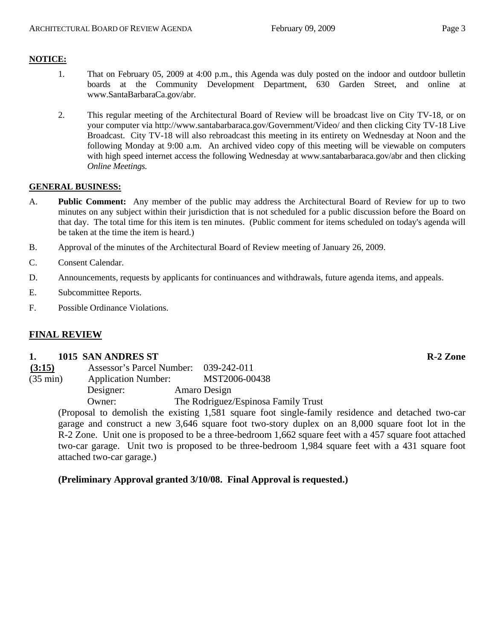## **NOTICE:**

- 1. That on February 05, 2009 at 4:00 p.m., this Agenda was duly posted on the indoor and outdoor bulletin boards at the Community Development Department, 630 Garden Street, and online at [www.SantaBarbaraCa.gov/abr.](http://www.santabarbaraca.gov/abr)
- 2. This regular meeting of the Architectural Board of Review will be broadcast live on City TV-18, or on your computer via <http://www.santabarbaraca.gov/Government/Video/> and then clicking City TV-18 Live Broadcast. City TV-18 will also rebroadcast this meeting in its entirety on Wednesday at Noon and the following Monday at 9:00 a.m. An archived video copy of this meeting will be viewable on computers with high speed internet access the following Wednesday at [www.santabarbaraca.gov/abr](http://www.santabarbaraca.gov/abr) and then clicking *Online Meetings.*

## **GENERAL BUSINESS:**

- A. **Public Comment:** Any member of the public may address the Architectural Board of Review for up to two minutes on any subject within their jurisdiction that is not scheduled for a public discussion before the Board on that day. The total time for this item is ten minutes. (Public comment for items scheduled on today's agenda will be taken at the time the item is heard.)
- B. Approval of the minutes of the Architectural Board of Review meeting of January 26, 2009.
- C. Consent Calendar.
- D. Announcements, requests by applicants for continuances and withdrawals, future agenda items, and appeals.
- E. Subcommittee Reports.
- F. Possible Ordinance Violations.

## **FINAL REVIEW**

#### **1. 1015 SAN ANDRES ST R-2 Zone**

|           | MST2006-00438                                                       |
|-----------|---------------------------------------------------------------------|
| Designer: | Amaro Design                                                        |
| Owner:    | The Rodriguez/Espinosa Family Trust                                 |
|           | Assessor's Parcel Number: 039-242-011<br><b>Application Number:</b> |

(Proposal to demolish the existing 1,581 square foot single-family residence and detached two-car garage and construct a new 3,646 square foot two-story duplex on an 8,000 square foot lot in the R-2 Zone. Unit one is proposed to be a three-bedroom 1,662 square feet with a 457 square foot attached two-car garage. Unit two is proposed to be three-bedroom 1,984 square feet with a 431 square foot attached two-car garage.)

## **(Preliminary Approval granted 3/10/08. Final Approval is requested.)**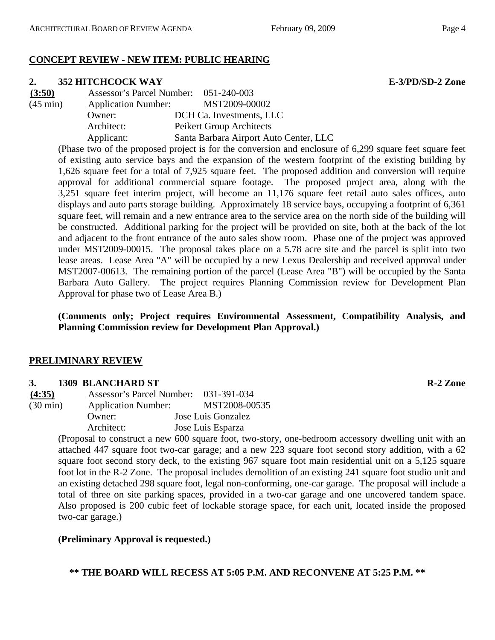# **CONCEPT REVIEW - NEW ITEM: PUBLIC HEARING**

## **2. 352 HITCHCOCK WAY E-3/PD/SD-2 Zone**

| (3:50)             | Assessor's Parcel Number: 051-240-003 |                                        |
|--------------------|---------------------------------------|----------------------------------------|
| $(45 \text{ min})$ | <b>Application Number:</b>            | MST2009-00002                          |
|                    | Owner:                                | DCH Ca. Investments, LLC               |
|                    | Architect:                            | Peikert Group Architects               |
|                    | Applicant:                            | Santa Barbara Airport Auto Center, LLC |

(Phase two of the proposed project is for the conversion and enclosure of 6,299 square feet square feet of existing auto service bays and the expansion of the western footprint of the existing building by 1,626 square feet for a total of 7,925 square feet. The proposed addition and conversion will require approval for additional commercial square footage. The proposed project area, along with the 3,251 square feet interim project, will become an 11,176 square feet retail auto sales offices, auto displays and auto parts storage building. Approximately 18 service bays, occupying a footprint of 6,361 square feet, will remain and a new entrance area to the service area on the north side of the building will be constructed. Additional parking for the project will be provided on site, both at the back of the lot and adjacent to the front entrance of the auto sales show room. Phase one of the project was approved under MST2009-00015. The proposal takes place on a 5.78 acre site and the parcel is split into two lease areas. Lease Area "A" will be occupied by a new Lexus Dealership and received approval under MST2007-00613. The remaining portion of the parcel (Lease Area "B") will be occupied by the Santa Barbara Auto Gallery. The project requires Planning Commission review for Development Plan Approval for phase two of Lease Area B.)

**(Comments only; Project requires Environmental Assessment, Compatibility Analysis, and Planning Commission review for Development Plan Approval.)** 

## **PRELIMINARY REVIEW**

## **3. 1309 BLANCHARD ST R-2 Zone**

**(4:35)** Assessor's Parcel Number: 031-391-034 (30 min) Application Number: MST2008-00535 Owner: Jose Luis Gonzalez Architect: Jose Luis Esparza

(Proposal to construct a new 600 square foot, two-story, one-bedroom accessory dwelling unit with an attached 447 square foot two-car garage; and a new 223 square foot second story addition, with a 62 square foot second story deck, to the existing 967 square foot main residential unit on a 5,125 square foot lot in the R-2 Zone. The proposal includes demolition of an existing 241 square foot studio unit and an existing detached 298 square foot, legal non-conforming, one-car garage. The proposal will include a total of three on site parking spaces, provided in a two-car garage and one uncovered tandem space. Also proposed is 200 cubic feet of lockable storage space, for each unit, located inside the proposed two-car garage.)

# **(Preliminary Approval is requested.)**

**\*\* THE BOARD WILL RECESS AT 5:05 P.M. AND RECONVENE AT 5:25 P.M. \*\***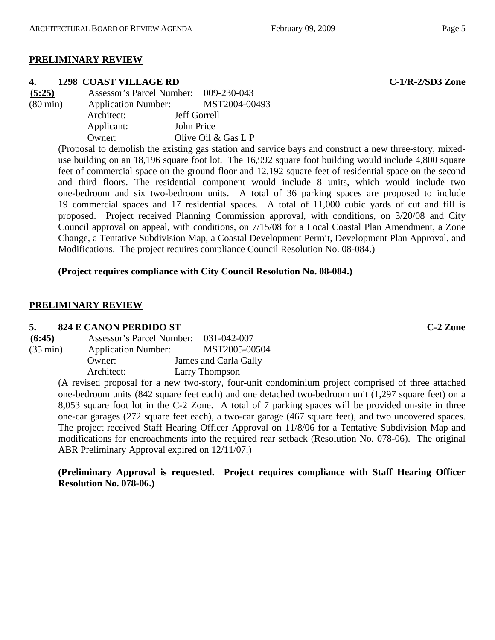## **PRELIMINARY REVIEW**

#### **4. 1298 COAST VILLAGE RD C-1/R-2/SD3 Zone**

| (5:25)             | Assessor's Parcel Number: 009-230-043 |                       |
|--------------------|---------------------------------------|-----------------------|
| $(80 \text{ min})$ | <b>Application Number:</b>            | MST2004-00493         |
|                    | Architect:                            | Jeff Gorrell          |
|                    | Applicant:                            | John Price            |
|                    | Owner:                                | Olive Oil $&$ Gas L P |

(Proposal to demolish the existing gas station and service bays and construct a new three-story, mixeduse building on an 18,196 square foot lot. The 16,992 square foot building would include 4,800 square feet of commercial space on the ground floor and 12,192 square feet of residential space on the second and third floors. The residential component would include 8 units, which would include two one-bedroom and six two-bedroom units. A total of 36 parking spaces are proposed to include 19 commercial spaces and 17 residential spaces. A total of 11,000 cubic yards of cut and fill is proposed. Project received Planning Commission approval, with conditions, on 3/20/08 and City Council approval on appeal, with conditions, on 7/15/08 for a Local Coastal Plan Amendment, a Zone Change, a Tentative Subdivision Map, a Coastal Development Permit, Development Plan Approval, and Modifications. The project requires compliance Council Resolution No. 08-084.)

## **(Project requires compliance with City Council Resolution No. 08-084.)**

## **PRELIMINARY REVIEW**

#### **5. 824 E CANON PERDIDO ST C-2 Zone**

| (6:45)             | Assessor's Parcel Number:  | 031-042-007           |
|--------------------|----------------------------|-----------------------|
| $(35 \text{ min})$ | <b>Application Number:</b> | MST2005-00504         |
|                    | Owner:                     | James and Carla Gally |
|                    | Architect:                 | Larry Thompson        |

(A revised proposal for a new two-story, four-unit condominium project comprised of three attached one-bedroom units (842 square feet each) and one detached two-bedroom unit (1,297 square feet) on a 8,053 square foot lot in the C-2 Zone. A total of 7 parking spaces will be provided on-site in three one-car garages (272 square feet each), a two-car garage (467 square feet), and two uncovered spaces. The project received Staff Hearing Officer Approval on 11/8/06 for a Tentative Subdivision Map and modifications for encroachments into the required rear setback (Resolution No. 078-06). The original ABR Preliminary Approval expired on 12/11/07.)

**(Preliminary Approval is requested. Project requires compliance with Staff Hearing Officer Resolution No. 078-06.)**